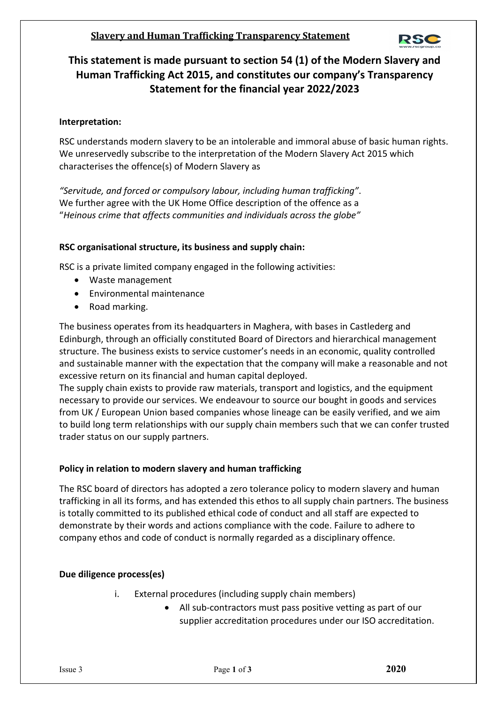# **Slavery and Human Trafficking Transparency Statement**



# **This statement is made pursuant to section 54 (1) of the Modern Slavery and Human Trafficking Act 2015, and constitutes our company's Transparency Statement for the financial year 2022/2023**

## **Interpretation:**

RSC understands modern slavery to be an intolerable and immoral abuse of basic human rights. We unreservedly subscribe to the interpretation of the Modern Slavery Act 2015 which characterises the offence(s) of Modern Slavery as

*"Servitude, and forced or compulsory labour, including human trafficking"*. We further agree with the UK Home Office description of the offence as a "*Heinous crime that affects communities and individuals across the globe"*

### **RSC organisational structure, its business and supply chain:**

RSC is a private limited company engaged in the following activities:

- Waste management
- Environmental maintenance
- Road marking.

The business operates from its headquarters in Maghera, with bases in Castlederg and Edinburgh, through an officially constituted Board of Directors and hierarchical management structure. The business exists to service customer's needs in an economic, quality controlled and sustainable manner with the expectation that the company will make a reasonable and not excessive return on its financial and human capital deployed.

The supply chain exists to provide raw materials, transport and logistics, and the equipment necessary to provide our services. We endeavour to source our bought in goods and services from UK / European Union based companies whose lineage can be easily verified, and we aim to build long term relationships with our supply chain members such that we can confer trusted trader status on our supply partners.

#### **Policy in relation to modern slavery and human trafficking**

The RSC board of directors has adopted a zero tolerance policy to modern slavery and human trafficking in all its forms, and has extended this ethos to all supply chain partners. The business is totally committed to its published ethical code of conduct and all staff are expected to demonstrate by their words and actions compliance with the code. Failure to adhere to company ethos and code of conduct is normally regarded as a disciplinary offence.

#### **Due diligence process(es)**

- i. External procedures (including supply chain members)
	- All sub-contractors must pass positive vetting as part of our supplier accreditation procedures under our ISO accreditation.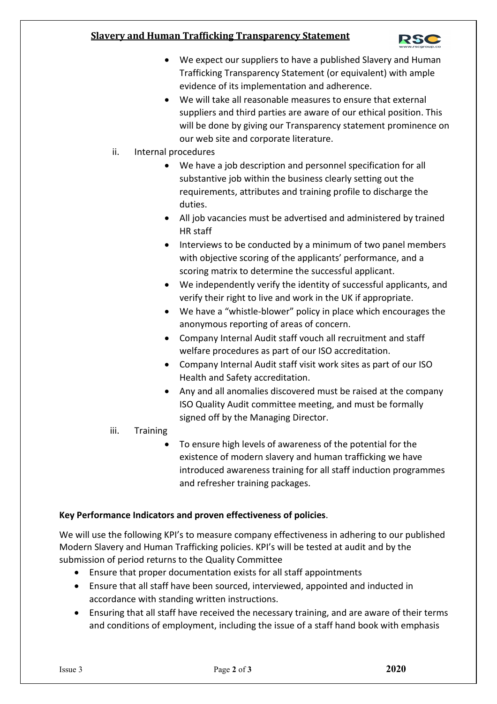# **Slavery and Human Trafficking Transparency Statement**



- We expect our suppliers to have a published Slavery and Human Trafficking Transparency Statement (or equivalent) with ample evidence of its implementation and adherence.
- We will take all reasonable measures to ensure that external suppliers and third parties are aware of our ethical position. This will be done by giving our Transparency statement prominence on our web site and corporate literature.
- ii. Internal procedures
	- We have a job description and personnel specification for all substantive job within the business clearly setting out the requirements, attributes and training profile to discharge the duties.
	- All job vacancies must be advertised and administered by trained HR staff
	- Interviews to be conducted by a minimum of two panel members with objective scoring of the applicants' performance, and a scoring matrix to determine the successful applicant.
	- We independently verify the identity of successful applicants, and verify their right to live and work in the UK if appropriate.
	- We have a "whistle-blower" policy in place which encourages the anonymous reporting of areas of concern.
	- Company Internal Audit staff vouch all recruitment and staff welfare procedures as part of our ISO accreditation.
	- Company Internal Audit staff visit work sites as part of our ISO Health and Safety accreditation.
	- Any and all anomalies discovered must be raised at the company ISO Quality Audit committee meeting, and must be formally signed off by the Managing Director.
- iii. Training
	- To ensure high levels of awareness of the potential for the existence of modern slavery and human trafficking we have introduced awareness training for all staff induction programmes and refresher training packages.

# **Key Performance Indicators and proven effectiveness of policies**.

We will use the following KPI's to measure company effectiveness in adhering to our published Modern Slavery and Human Trafficking policies. KPI's will be tested at audit and by the submission of period returns to the Quality Committee

- Ensure that proper documentation exists for all staff appointments
- Ensure that all staff have been sourced, interviewed, appointed and inducted in accordance with standing written instructions.
- Ensuring that all staff have received the necessary training, and are aware of their terms and conditions of employment, including the issue of a staff hand book with emphasis